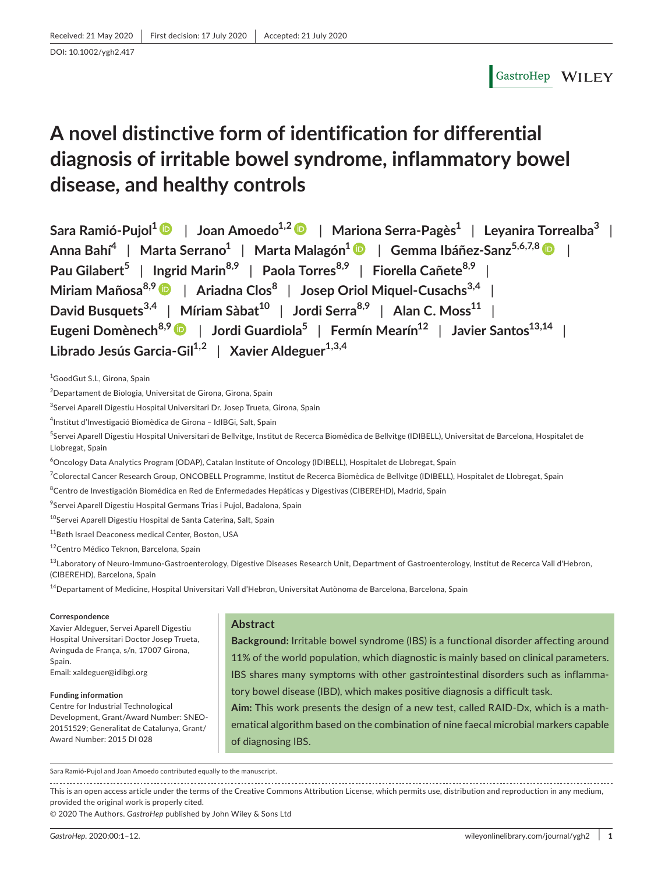# GastroHep WILEY

# **A novel distinctive form of identification for differential diagnosis of irritable bowel syndrome, inflammatory bowel disease, and healthy controls**

**Sara Ramió-Pujol1** | **Joan Amoedo1,[2](https://orcid.org/0000-0003-2186-6463)** | **Mariona Serra-Pagès1** | **Leyanira Torrealba<sup>3</sup>** | **Anna Bahí<sup>4</sup>** | **Marta Serrano1** | **Marta Malagón[1](https://orcid.org/0000-0002-2673-2707)** | **Gemma Ibáñez-Sanz5,6,7,[8](https://orcid.org/0000-0001-6071-7343)** | **Pau Gilabert<sup>5</sup>** | **Ingrid Marin8,9** | **Paola Torres8,9** | **Fiorella Cañete8,9** | **Miriam Mañosa8,9** | **Ariadna Clos<sup>8</sup>** | **Josep Oriol Miquel-Cusachs3,4** | **David Busquets**<sup>3,4</sup> | Míriam Sàbat<sup>10</sup> | Jordi Serra<sup>8,9</sup> | Alan C. Moss<sup>11</sup> | **Eugeni Domènech8,9** | **Jordi Guardiola<sup>5</sup>** | **Fermín Mearín12** | **Javier Santos13,14** | **Librado Jesús Garcia-Gil1,2** | **Xavier Aldeguer1,3,4**

1 GoodGut S.L, Girona, Spain

<sup>2</sup>Departament de Biologia, Universitat de Girona, Girona, Spain

<sup>3</sup>Servei Aparell Digestiu Hospital Universitari Dr. Josep Trueta, Girona, Spain

4 Institut d'Investigació Biomèdica de Girona – IdIBGi, Salt, Spain

<sup>5</sup>Servei Aparell Digestiu Hospital Universitari de Bellvitge, Institut de Recerca Biomèdica de Bellvitge (IDIBELL), Universitat de Barcelona, Hospitalet de Llobregat, Spain

<sup>6</sup>Oncology Data Analytics Program (ODAP), Catalan Institute of Oncology (IDIBELL), Hospitalet de Llobregat, Spain

<sup>7</sup>Colorectal Cancer Research Group, ONCOBELL Programme, Institut de Recerca Biomèdica de Bellvitge (IDIBELL), Hospitalet de Llobregat, Spain

<sup>8</sup>Centro de Investigación Biomédica en Red de Enfermedades Hepáticas y Digestivas (CIBEREHD), Madrid, Spain

<sup>9</sup>Servei Aparell Digestiu Hospital Germans Trias i Pujol, Badalona, Spain

<sup>10</sup>Servei Aparell Digestiu Hospital de Santa Caterina, Salt, Spain

<sup>11</sup>Beth Israel Deaconess medical Center, Boston, USA

12 Centro Médico Teknon, Barcelona, Spain

13Laboratory of Neuro-Immuno-Gastroenterology, Digestive Diseases Research Unit, Department of Gastroenterology, Institut de Recerca Vall d'Hebron, (CIBEREHD), Barcelona, Spain

<sup>14</sup>Departament of Medicine, Hospital Universitari Vall d'Hebron, Universitat Autònoma de Barcelona, Barcelona, Spain

#### **Correspondence**

Xavier Aldeguer, Servei Aparell Digestiu Hospital Universitari Doctor Josep Trueta, Avinguda de França, s/n, 17007 Girona, Spain. Email: [xaldeguer@idibgi.org](mailto:xaldeguer@idibgi.org)

**Funding information** Centre for Industrial Technological Development, Grant/Award Number: SNEO-20151529; Generalitat de Catalunya, Grant/ Award Number: 2015 DI 028

## **Abstract**

**Background:** Irritable bowel syndrome (IBS) is a functional disorder affecting around 11% of the world population, which diagnostic is mainly based on clinical parameters. IBS shares many symptoms with other gastrointestinal disorders such as inflammatory bowel disease (IBD), which makes positive diagnosis a difficult task.

**Aim:** This work presents the design of a new test, called RAID-Dx, which is a mathematical algorithm based on the combination of nine faecal microbial markers capable of diagnosing IBS.

Sara Ramió-Pujol and Joan Amoedo contributed equally to the manuscript.

This is an open access article under the terms of the [Creative Commons Attribution](http://creativecommons.org/licenses/by/4.0/) License, which permits use, distribution and reproduction in any medium, provided the original work is properly cited.

© 2020 The Authors. *GastroHep* published by John Wiley & Sons Ltd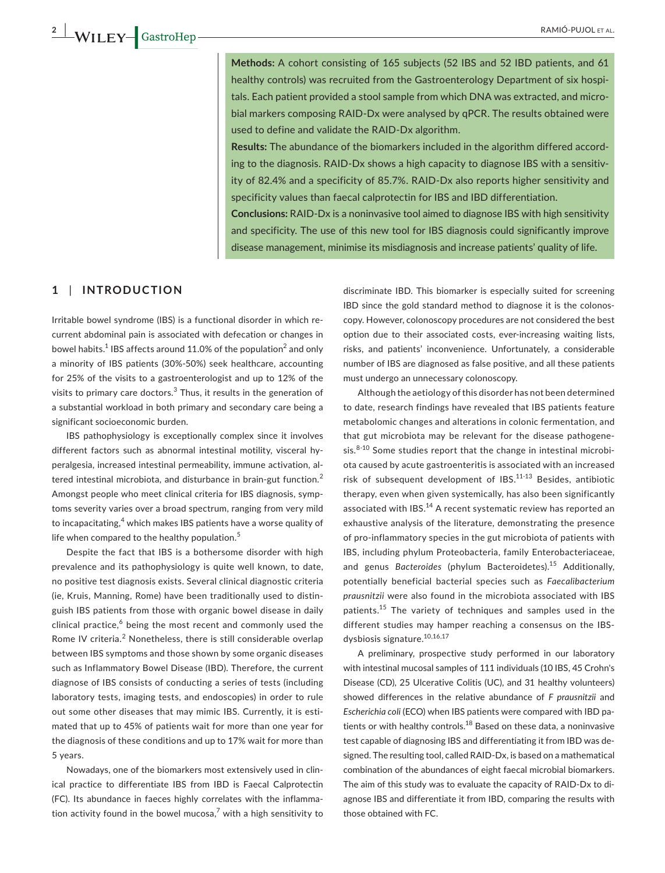**Methods:** A cohort consisting of 165 subjects (52 IBS and 52 IBD patients, and 61 healthy controls) was recruited from the Gastroenterology Department of six hospitals. Each patient provided a stool sample from which DNA was extracted, and microbial markers composing RAID-Dx were analysed by qPCR. The results obtained were used to define and validate the RAID-Dx algorithm.

**Results:** The abundance of the biomarkers included in the algorithm differed according to the diagnosis. RAID-Dx shows a high capacity to diagnose IBS with a sensitivity of 82.4% and a specificity of 85.7%. RAID-Dx also reports higher sensitivity and specificity values than faecal calprotectin for IBS and IBD differentiation.

**Conclusions:** RAID-Dx is a noninvasive tool aimed to diagnose IBS with high sensitivity and specificity. The use of this new tool for IBS diagnosis could significantly improve disease management, minimise its misdiagnosis and increase patients' quality of life.

## **1** | **INTRODUCTION**

Irritable bowel syndrome (IBS) is a functional disorder in which recurrent abdominal pain is associated with defecation or changes in bowel habits. $1$  IBS affects around 11.0% of the population $^2$  and only a minority of IBS patients (30%-50%) seek healthcare, accounting for 25% of the visits to a gastroenterologist and up to 12% of the visits to primary care doctors. $3$  Thus, it results in the generation of a substantial workload in both primary and secondary care being a significant socioeconomic burden.

IBS pathophysiology is exceptionally complex since it involves different factors such as abnormal intestinal motility, visceral hyperalgesia, increased intestinal permeability, immune activation, altered intestinal microbiota, and disturbance in brain-gut function.<sup>2</sup> Amongst people who meet clinical criteria for IBS diagnosis, symptoms severity varies over a broad spectrum, ranging from very mild to incapacitating,<sup>4</sup> which makes IBS patients have a worse quality of life when compared to the healthy population.<sup>5</sup>

Despite the fact that IBS is a bothersome disorder with high prevalence and its pathophysiology is quite well known, to date, no positive test diagnosis exists. Several clinical diagnostic criteria (ie, Kruis, Manning, Rome) have been traditionally used to distinguish IBS patients from those with organic bowel disease in daily clinical practice,<sup>6</sup> being the most recent and commonly used the Rome IV criteria.<sup>2</sup> Nonetheless, there is still considerable overlap between IBS symptoms and those shown by some organic diseases such as Inflammatory Bowel Disease (IBD). Therefore, the current diagnose of IBS consists of conducting a series of tests (including laboratory tests, imaging tests, and endoscopies) in order to rule out some other diseases that may mimic IBS. Currently, it is estimated that up to 45% of patients wait for more than one year for the diagnosis of these conditions and up to 17% wait for more than 5 years.

Nowadays, one of the biomarkers most extensively used in clinical practice to differentiate IBS from IBD is Faecal Calprotectin (FC). Its abundance in faeces highly correlates with the inflammation activity found in the bowel mucosa, $^7$  with a high sensitivity to

discriminate IBD. This biomarker is especially suited for screening IBD since the gold standard method to diagnose it is the colonoscopy. However, colonoscopy procedures are not considered the best option due to their associated costs, ever-increasing waiting lists, risks, and patients' inconvenience. Unfortunately, a considerable number of IBS are diagnosed as false positive, and all these patients must undergo an unnecessary colonoscopy.

Although the aetiology of this disorder has not been determined to date, research findings have revealed that IBS patients feature metabolomic changes and alterations in colonic fermentation, and that gut microbiota may be relevant for the disease pathogene- $\sin^{8-10}$  Some studies report that the change in intestinal microbiota caused by acute gastroenteritis is associated with an increased risk of subsequent development of IBS.<sup>11-13</sup> Besides, antibiotic therapy, even when given systemically, has also been significantly associated with IBS.<sup>14</sup> A recent systematic review has reported an exhaustive analysis of the literature, demonstrating the presence of pro-inflammatory species in the gut microbiota of patients with IBS, including phylum Proteobacteria, family Enterobacteriaceae, and genus *Bacteroides* (phylum Bacteroidetes).<sup>15</sup> Additionally, potentially beneficial bacterial species such as *Faecalibacterium prausnitzii* were also found in the microbiota associated with IBS patients.<sup>15</sup> The variety of techniques and samples used in the different studies may hamper reaching a consensus on the IBSdysbiosis signature.10,16,17

A preliminary, prospective study performed in our laboratory with intestinal mucosal samples of 111 individuals (10 IBS, 45 Crohn's Disease (CD), 25 Ulcerative Colitis (UC), and 31 healthy volunteers) showed differences in the relative abundance of *F prausnitzii* and *Escherichia coli* (ECO) when IBS patients were compared with IBD patients or with healthy controls. $^{18}$  Based on these data, a noninvasive test capable of diagnosing IBS and differentiating it from IBD was designed. The resulting tool, called RAID-Dx, is based on a mathematical combination of the abundances of eight faecal microbial biomarkers. The aim of this study was to evaluate the capacity of RAID-Dx to diagnose IBS and differentiate it from IBD, comparing the results with those obtained with FC.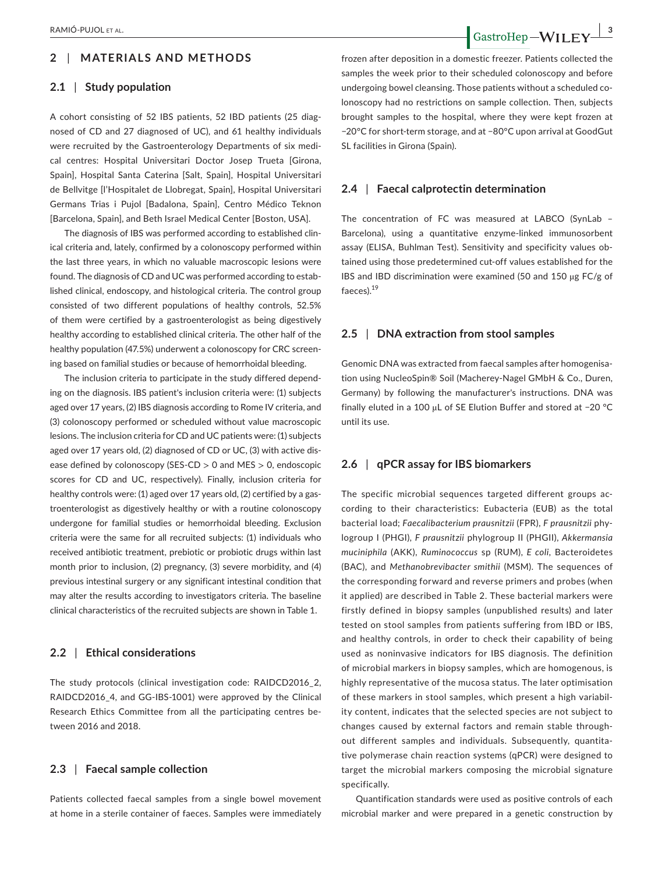## **2** | **MATERIALS AND METHODS**

#### **2.1** | **Study population**

A cohort consisting of 52 IBS patients, 52 IBD patients (25 diagnosed of CD and 27 diagnosed of UC), and 61 healthy individuals were recruited by the Gastroenterology Departments of six medical centres: Hospital Universitari Doctor Josep Trueta [Girona, Spain], Hospital Santa Caterina [Salt, Spain], Hospital Universitari de Bellvitge [l'Hospitalet de Llobregat, Spain], Hospital Universitari Germans Trias i Pujol [Badalona, Spain], Centro Médico Teknon [Barcelona, Spain], and Beth Israel Medical Center [Boston, USA].

The diagnosis of IBS was performed according to established clinical criteria and, lately, confirmed by a colonoscopy performed within the last three years, in which no valuable macroscopic lesions were found. The diagnosis of CD and UC was performed according to established clinical, endoscopy, and histological criteria. The control group consisted of two different populations of healthy controls, 52.5% of them were certified by a gastroenterologist as being digestively healthy according to established clinical criteria. The other half of the healthy population (47.5%) underwent a colonoscopy for CRC screening based on familial studies or because of hemorrhoidal bleeding.

The inclusion criteria to participate in the study differed depending on the diagnosis. IBS patient's inclusion criteria were: (1) subjects aged over 17 years, (2) IBS diagnosis according to Rome IV criteria, and (3) colonoscopy performed or scheduled without value macroscopic lesions. The inclusion criteria for CD and UC patients were: (1) subjects aged over 17 years old, (2) diagnosed of CD or UC, (3) with active disease defined by colonoscopy (SES-CD > 0 and MES > 0, endoscopic scores for CD and UC, respectively). Finally, inclusion criteria for healthy controls were: (1) aged over 17 years old, (2) certified by a gastroenterologist as digestively healthy or with a routine colonoscopy undergone for familial studies or hemorrhoidal bleeding. Exclusion criteria were the same for all recruited subjects: (1) individuals who received antibiotic treatment, prebiotic or probiotic drugs within last month prior to inclusion, (2) pregnancy, (3) severe morbidity, and (4) previous intestinal surgery or any significant intestinal condition that may alter the results according to investigators criteria. The baseline clinical characteristics of the recruited subjects are shown in Table 1.

#### **2.2** | **Ethical considerations**

The study protocols (clinical investigation code: RAIDCD2016\_2, RAIDCD2016\_4, and GG-IBS-1001) were approved by the Clinical Research Ethics Committee from all the participating centres between 2016 and 2018.

## **2.3** | **Faecal sample collection**

Patients collected faecal samples from a single bowel movement at home in a sterile container of faeces. Samples were immediately

frozen after deposition in a domestic freezer. Patients collected the

samples the week prior to their scheduled colonoscopy and before undergoing bowel cleansing. Those patients without a scheduled colonoscopy had no restrictions on sample collection. Then, subjects brought samples to the hospital, where they were kept frozen at −20°C for short-term storage, and at −80°C upon arrival at GoodGut SL facilities in Girona (Spain).

### **2.4** | **Faecal calprotectin determination**

The concentration of FC was measured at LABCO (SynLab – Barcelona), using a quantitative enzyme-linked immunosorbent assay (ELISA, Buhlman Test). Sensitivity and specificity values obtained using those predetermined cut-off values established for the IBS and IBD discrimination were examined (50 and 150 µg FC/g of faeces).<sup>19</sup>

#### **2.5** | **DNA extraction from stool samples**

Genomic DNA was extracted from faecal samples after homogenisation using NucleoSpin® Soil (Macherey-Nagel GMbH & Co., Duren, Germany) by following the manufacturer's instructions. DNA was finally eluted in a 100 µL of SE Elution Buffer and stored at −20 °C until its use.

#### **2.6** | **qPCR assay for IBS biomarkers**

The specific microbial sequences targeted different groups according to their characteristics: Eubacteria (EUB) as the total bacterial load; *Faecalibacterium prausnitzii* (FPR), *F prausnitzii* phylogroup I (PHGI), *F prausnitzii* phylogroup II (PHGII), *Akkermansia muciniphila* (AKK), *Ruminococcus* sp (RUM), *E coli*, Bacteroidetes (BAC), and *Methanobrevibacter smithii* (MSM). The sequences of the corresponding forward and reverse primers and probes (when it applied) are described in Table 2. These bacterial markers were firstly defined in biopsy samples (unpublished results) and later tested on stool samples from patients suffering from IBD or IBS, and healthy controls, in order to check their capability of being used as noninvasive indicators for IBS diagnosis. The definition of microbial markers in biopsy samples, which are homogenous, is highly representative of the mucosa status. The later optimisation of these markers in stool samples, which present a high variability content, indicates that the selected species are not subject to changes caused by external factors and remain stable throughout different samples and individuals. Subsequently, quantitative polymerase chain reaction systems (qPCR) were designed to target the microbial markers composing the microbial signature specifically.

Quantification standards were used as positive controls of each microbial marker and were prepared in a genetic construction by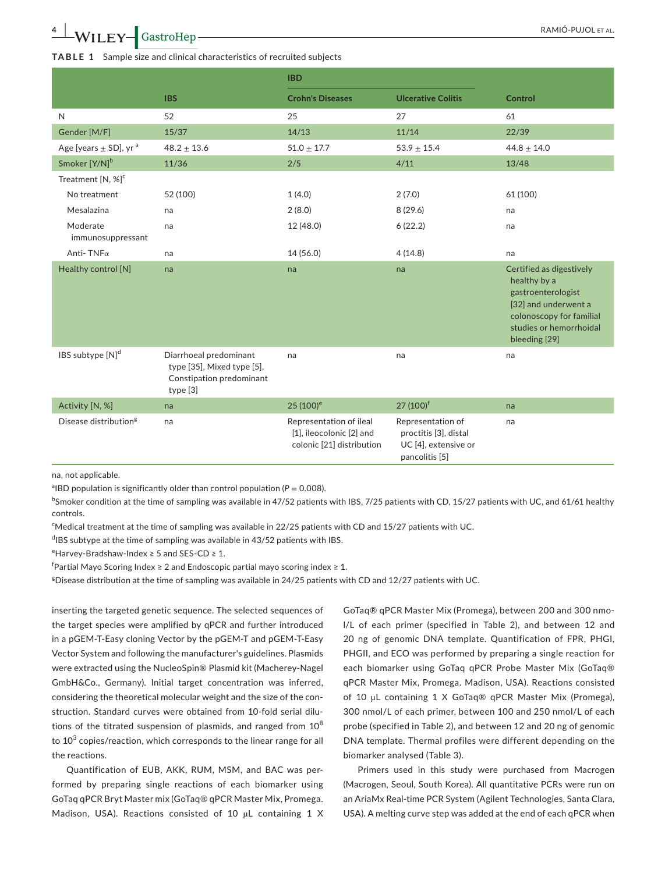#### **TABLE 1** Sample size and clinical characteristics of recruited subjects

|                                       |                                                                                              | <b>IBD</b>                                                                       |                                                                                      |                                                                                                                                                                |
|---------------------------------------|----------------------------------------------------------------------------------------------|----------------------------------------------------------------------------------|--------------------------------------------------------------------------------------|----------------------------------------------------------------------------------------------------------------------------------------------------------------|
|                                       | <b>IBS</b>                                                                                   | <b>Crohn's Diseases</b>                                                          | <b>Ulcerative Colitis</b>                                                            | <b>Control</b>                                                                                                                                                 |
| N                                     | 52                                                                                           | 25                                                                               | 27                                                                                   | 61                                                                                                                                                             |
| Gender [M/F]                          | 15/37                                                                                        | 14/13                                                                            | 11/14                                                                                | 22/39                                                                                                                                                          |
| Age [years $\pm$ SD], yr <sup>a</sup> | $48.2 \pm 13.6$                                                                              | $51.0 \pm 17.7$                                                                  | $53.9 \pm 15.4$                                                                      | $44.8 \pm 14.0$                                                                                                                                                |
| Smoker [Y/N] <sup>b</sup>             | 11/36                                                                                        | 2/5                                                                              | 4/11                                                                                 | 13/48                                                                                                                                                          |
| Treatment [N, %] <sup>c</sup>         |                                                                                              |                                                                                  |                                                                                      |                                                                                                                                                                |
| No treatment                          | 52 (100)                                                                                     | 1(4.0)                                                                           | 2(7.0)                                                                               | 61 (100)                                                                                                                                                       |
| Mesalazina                            | na                                                                                           | 2(8.0)                                                                           | 8(29.6)                                                                              | na                                                                                                                                                             |
| Moderate<br>immunosuppressant         | na                                                                                           | 12 (48.0)                                                                        | 6(22.2)                                                                              | na                                                                                                                                                             |
| Anti-TNF $\alpha$                     | na                                                                                           | 14 (56.0)                                                                        | 4(14.8)                                                                              | na                                                                                                                                                             |
| Healthy control [N]                   | na                                                                                           | na                                                                               | na                                                                                   | Certified as digestively<br>healthy by a<br>gastroenterologist<br>[32] and underwent a<br>colonoscopy for familial<br>studies or hemorrhoidal<br>bleeding [29] |
| IBS subtype [N] <sup>d</sup>          | Diarrhoeal predominant<br>type [35], Mixed type [5],<br>Constipation predominant<br>type [3] | na                                                                               | na                                                                                   | na                                                                                                                                                             |
| Activity [N, %]                       | na                                                                                           | $25(100)^e$                                                                      | 27 (100) <sup>f</sup>                                                                | na                                                                                                                                                             |
| Disease distribution <sup>g</sup>     | na                                                                                           | Representation of ileal<br>[1], ileocolonic [2] and<br>colonic [21] distribution | Representation of<br>proctitis [3], distal<br>UC [4], extensive or<br>pancolitis [5] | na                                                                                                                                                             |

na, not applicable.

<sup>a</sup> IBD population is significantly older than control population ( $P = 0.008$ ).

 $^{\rm b}$ Smoker condition at the time of sampling was available in 47/52 patients with IBS, 7/25 patients with CD, 15/27 patients with UC, and 61/61 healthy controls.

<sup>c</sup>Medical treatment at the time of sampling was available in 22/25 patients with CD and 15/27 patients with UC.

<sup>d</sup>IBS subtype at the time of sampling was available in 43/52 patients with IBS.

 $\text{e}^{\text{e}}$ Harvey-Bradshaw-Index ≥ 5 and SES-CD ≥ 1.

 $^{\mathsf{f}}$ Partial Mayo Scoring Index ≥ 2 and Endoscopic partial mayo scoring index ≥ 1.

<sup>g</sup>Disease distribution at the time of sampling was available in 24/25 patients with CD and 12/27 patients with UC.

inserting the targeted genetic sequence. The selected sequences of the target species were amplified by qPCR and further introduced in a pGEM-T-Easy cloning Vector by the pGEM-T and pGEM-T-Easy Vector System and following the manufacturer's guidelines. Plasmids were extracted using the NucleoSpin® Plasmid kit (Macherey-Nagel GmbH&Co., Germany). Initial target concentration was inferred, considering the theoretical molecular weight and the size of the construction. Standard curves were obtained from 10-fold serial dilutions of the titrated suspension of plasmids, and ranged from  $10^8$ to  $10^3$  copies/reaction, which corresponds to the linear range for all the reactions.

Quantification of EUB, AKK, RUM, MSM, and BAC was performed by preparing single reactions of each biomarker using GoTaq qPCR Bryt Master mix (GoTaq® qPCR Master Mix, Promega. Madison, USA). Reactions consisted of 10 µL containing 1 X

GoTaq® qPCR Master Mix (Promega), between 200 and 300 nmol/L of each primer (specified in Table 2), and between 12 and 20 ng of genomic DNA template. Quantification of FPR, PHGI, PHGII, and ECO was performed by preparing a single reaction for each biomarker using GoTaq qPCR Probe Master Mix (GoTaq® qPCR Master Mix, Promega. Madison, USA). Reactions consisted of 10 µL containing 1 X GoTaq® qPCR Master Mix (Promega), 300 nmol/L of each primer, between 100 and 250 nmol/L of each probe (specified in Table 2), and between 12 and 20 ng of genomic DNA template. Thermal profiles were different depending on the biomarker analysed (Table 3).

Primers used in this study were purchased from Macrogen (Macrogen, Seoul, South Korea). All quantitative PCRs were run on an AriaMx Real-time PCR System (Agilent Technologies, Santa Clara, USA). A melting curve step was added at the end of each qPCR when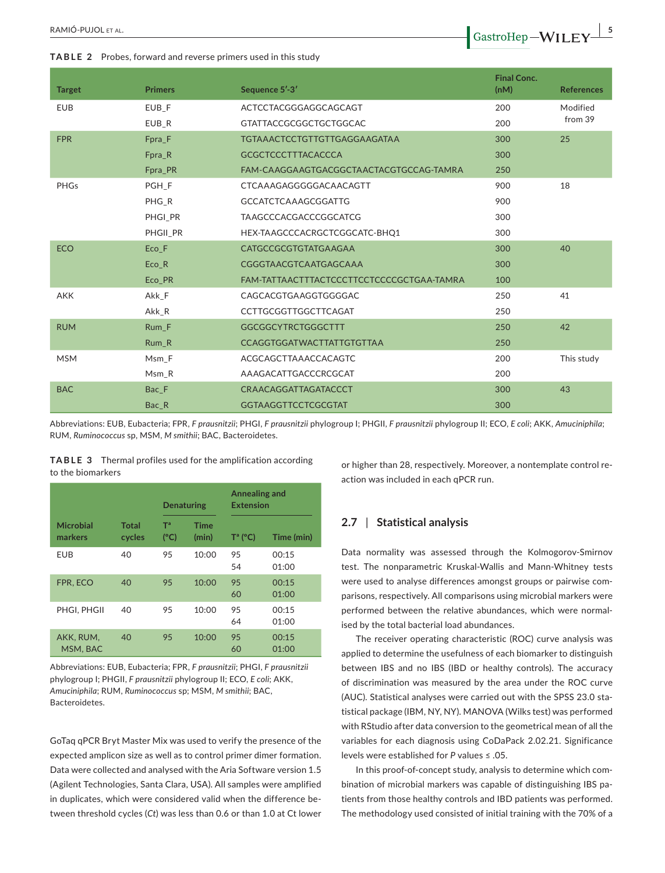**TABLE 2** Probes, forward and reverse primers used in this study

| <b>Target</b> | <b>Primers</b> | Sequence 5'-3'                            | <b>Final Conc.</b><br>(nM) | <b>References</b> |
|---------------|----------------|-------------------------------------------|----------------------------|-------------------|
| <b>EUB</b>    | EUB F          | ACTCCTACGGGAGGCAGCAGT                     | 200                        | Modified          |
|               | EUB R          | <b>GTATTACCGCGGCTGCTGGCAC</b>             | 200                        | from 39           |
| <b>FPR</b>    | Fpra F         | <b>TGTAAACTCCTGTTGTTGAGGAAGATAA</b>       | 300                        | 25                |
|               | Fpra_R         | <b>GCGCTCCCTTTACACCCA</b>                 | 300                        |                   |
|               | Fpra_PR        | FAM-CAAGGAAGTGACGGCTAACTACGTGCCAG-TAMRA   | 250                        |                   |
| <b>PHGs</b>   | PGH F          | CTCAAAGAGGGGGACAACAGTT                    | 900                        | 18                |
|               | PHG_R          | <b>GCCATCTCAAAGCGGATTG</b>                | 900                        |                   |
|               | PHGI PR        | TAAGCCCACGACCCGGCATCG                     | 300                        |                   |
|               | PHGII PR       | HEX-TAAGCCCACRGCTCGGCATC-BHQ1             | 300                        |                   |
| <b>ECO</b>    | Eco F          | CATGCCGCGTGTATGAAGAA                      | 300                        | 40                |
|               | $Eco_R$        | CGGGTAACGTCAATGAGCAAA                     | 300                        |                   |
|               | Eco_PR         | FAM-TATTAACTTTACTCCCTTCCTCCCCGCTGAA-TAMRA | 100                        |                   |
| <b>AKK</b>    | Akk F          | CAGCACGTGAAGGTGGGGAC                      | 250                        | 41                |
|               | Akk_R          | <b>CCTTGCGGTTGGCTTCAGAT</b>               | 250                        |                   |
| <b>RUM</b>    | Rum F          | <b>GGCGGCYTRCTGGGCTTT</b>                 | 250                        | 42                |
|               | $Rum_R$        | <b>CCAGGTGGATWACTTATTGTGTTAA</b>          | 250                        |                   |
| <b>MSM</b>    | Msm F          | ACGCAGCTTAAACCACAGTC                      | 200                        | This study        |
|               | Msm R          | AAAGACATTGACCCRCGCAT                      | 200                        |                   |
| <b>BAC</b>    | Bac F          | CRAACAGGATTAGATACCCT                      | 300                        | 43                |
|               | Bac R          | <b>GGTAAGGTTCCTCGCGTAT</b>                | 300                        |                   |

Abbreviations: EUB, Eubacteria; FPR, *F prausnitzii*; PHGI, *F prausnitzii* phylogroup I; PHGII, *F prausnitzii* phylogroup II; ECO, *E coli*; AKK, *Amuciniphila*; RUM, *Ruminococcus* sp, MSM, *M smithii*; BAC, Bacteroidetes.

**TABLE 3** Thermal profiles used for the amplification according to the biomarkers

|                       |                 | <b>Denaturing</b>               |                      | Annealing and<br><b>Extension</b> |                |  |
|-----------------------|-----------------|---------------------------------|----------------------|-----------------------------------|----------------|--|
| Microbial<br>markers  | Total<br>cycles | T <sup>a</sup><br>$(^{\circ}C)$ | <b>Time</b><br>(min) | $T^a$ (°C)                        | Time (min)     |  |
| <b>EUB</b>            | 40              | 95                              | 10:00                | 95<br>54                          | 00:15<br>01:00 |  |
| FPR. ECO              | 40              | 95                              | 10:00                | 95<br>60                          | 00:15<br>01:00 |  |
| PHGI, PHGII           | 40              | 95                              | 10:00                | 95<br>64                          | 00:15<br>01:00 |  |
| AKK. RUM.<br>MSM, BAC | 40              | 95                              | 10:00                | 95<br>60                          | 00:15<br>01:00 |  |

Abbreviations: EUB, Eubacteria; FPR, *F prausnitzii*; PHGI, *F prausnitzii* phylogroup I; PHGII, *F prausnitzii* phylogroup II; ECO, *E coli*; AKK, *Amuciniphila*; RUM, *Ruminococcus* sp; MSM, *M smithii*; BAC, Bacteroidetes.

GoTaq qPCR Bryt Master Mix was used to verify the presence of the expected amplicon size as well as to control primer dimer formation. Data were collected and analysed with the Aria Software version 1.5 (Agilent Technologies, Santa Clara, USA). All samples were amplified in duplicates, which were considered valid when the difference between threshold cycles (*Ct*) was less than 0.6 or than 1.0 at Ct lower

or higher than 28, respectively. Moreover, a nontemplate control reaction was included in each qPCR run.

#### **2.7** | **Statistical analysis**

Data normality was assessed through the Kolmogorov-Smirnov test. The nonparametric Kruskal-Wallis and Mann-Whitney tests were used to analyse differences amongst groups or pairwise comparisons, respectively. All comparisons using microbial markers were performed between the relative abundances, which were normalised by the total bacterial load abundances.

The receiver operating characteristic (ROC) curve analysis was applied to determine the usefulness of each biomarker to distinguish between IBS and no IBS (IBD or healthy controls). The accuracy of discrimination was measured by the area under the ROC curve (AUC). Statistical analyses were carried out with the SPSS 23.0 statistical package (IBM, NY, NY). MANOVA (Wilks test) was performed with RStudio after data conversion to the geometrical mean of all the variables for each diagnosis using CoDaPack 2.02.21. Significance levels were established for *P* values ≤ .05.

In this proof-of-concept study, analysis to determine which combination of microbial markers was capable of distinguishing IBS patients from those healthy controls and IBD patients was performed. The methodology used consisted of initial training with the 70% of a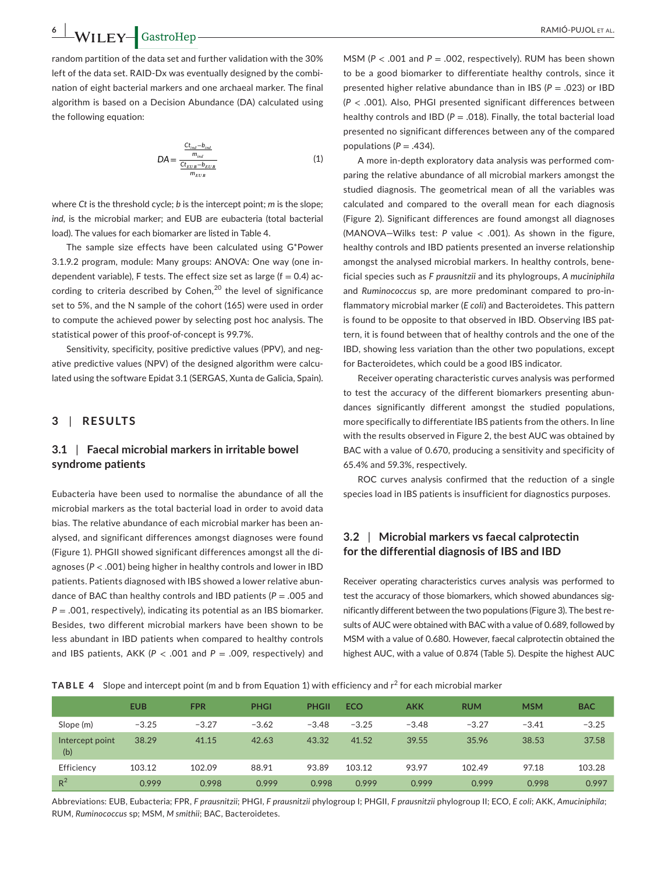**6 |**  RAMIÓ-PUJOL et al.

random partition of the data set and further validation with the 30% left of the data set. RAID-Dx was eventually designed by the combination of eight bacterial markers and one archaeal marker. The final algorithm is based on a Decision Abundance (DA) calculated using the following equation:

$$
DA = \frac{\frac{Ct_{ind} - b_{ind}}{m_{ind}}}{\frac{Ct_{EUB} - b_{EUB}}{m_{EUB}}}
$$
(1)

where *Ct* is the threshold cycle; *b* is the intercept point; *m* is the slope; *ind*, is the microbial marker; and EUB are eubacteria (total bacterial load). The values for each biomarker are listed in Table 4.

The sample size effects have been calculated using G\*Power 3.1.9.2 program, module: Many groups: ANOVA: One way (one independent variable), F tests. The effect size set as large ( $f = 0.4$ ) according to criteria described by Cohen, $^{20}$  the level of significance set to 5%, and the N sample of the cohort (165) were used in order to compute the achieved power by selecting post hoc analysis. The statistical power of this proof-of-concept is 99.7%.

Sensitivity, specificity, positive predictive values (PPV), and negative predictive values (NPV) of the designed algorithm were calculated using the software Epidat 3.1 (SERGAS, Xunta de Galicia, Spain).

## **3** | **RESULTS**

## **3.1** | **Faecal microbial markers in irritable bowel syndrome patients**

Eubacteria have been used to normalise the abundance of all the microbial markers as the total bacterial load in order to avoid data bias. The relative abundance of each microbial marker has been analysed, and significant differences amongst diagnoses were found (Figure 1). PHGII showed significant differences amongst all the diagnoses (*P* < .001) being higher in healthy controls and lower in IBD patients. Patients diagnosed with IBS showed a lower relative abundance of BAC than healthy controls and IBD patients (*P* = .005 and *P* = .001, respectively), indicating its potential as an IBS biomarker. Besides, two different microbial markers have been shown to be less abundant in IBD patients when compared to healthy controls and IBS patients, AKK (*P* < .001 and *P* = .009, respectively) and

MSM ( $P < .001$  and  $P = .002$ , respectively). RUM has been shown to be a good biomarker to differentiate healthy controls, since it presented higher relative abundance than in IBS ( $P = .023$ ) or IBD (*P* < .001). Also, PHGI presented significant differences between healthy controls and IBD ( $P = .018$ ). Finally, the total bacterial load presented no significant differences between any of the compared populations  $(P = .434)$ .

A more in-depth exploratory data analysis was performed comparing the relative abundance of all microbial markers amongst the studied diagnosis. The geometrical mean of all the variables was calculated and compared to the overall mean for each diagnosis (Figure 2). Significant differences are found amongst all diagnoses (MANOVA—Wilks test: *P* value < .001). As shown in the figure, healthy controls and IBD patients presented an inverse relationship amongst the analysed microbial markers. In healthy controls, beneficial species such as *F prausnitzii* and its phylogroups, *A muciniphila* and *Ruminococcus* sp, are more predominant compared to pro-inflammatory microbial marker (*E coli*) and Bacteroidetes. This pattern is found to be opposite to that observed in IBD. Observing IBS pattern, it is found between that of healthy controls and the one of the IBD, showing less variation than the other two populations, except for Bacteroidetes, which could be a good IBS indicator.

Receiver operating characteristic curves analysis was performed to test the accuracy of the different biomarkers presenting abundances significantly different amongst the studied populations, more specifically to differentiate IBS patients from the others. In line with the results observed in Figure 2, the best AUC was obtained by BAC with a value of 0.670, producing a sensitivity and specificity of 65.4% and 59.3%, respectively.

ROC curves analysis confirmed that the reduction of a single species load in IBS patients is insufficient for diagnostics purposes.

## **3.2** | **Microbial markers vs faecal calprotectin for the differential diagnosis of IBS and IBD**

Receiver operating characteristics curves analysis was performed to test the accuracy of those biomarkers, which showed abundances significantly different between the two populations (Figure 3). The best results of AUC were obtained with BAC with a value of 0.689, followed by MSM with a value of 0.680. However, faecal calprotectin obtained the highest AUC, with a value of 0.874 (Table 5). Despite the highest AUC

**TABLE 4** Slope and intercept point (m and b from Equation 1) with efficiency and r<sup>2</sup> for each microbial marker

|                        | <b>EUB</b> | <b>FPR</b> | <b>PHGI</b> | <b>PHGII</b> | <b>ECO</b> | <b>AKK</b> | <b>RUM</b> | <b>MSM</b> | <b>BAC</b> |
|------------------------|------------|------------|-------------|--------------|------------|------------|------------|------------|------------|
| Slope (m)              | $-3.25$    | $-3.27$    | $-3.62$     | $-3.48$      | $-3.25$    | $-3.48$    | $-3.27$    | $-3.41$    | $-3.25$    |
| Intercept point<br>(b) | 38.29      | 41.15      | 42.63       | 43.32        | 41.52      | 39.55      | 35.96      | 38.53      | 37.58      |
| Efficiency             | 103.12     | 102.09     | 88.91       | 93.89        | 103.12     | 93.97      | 102.49     | 97.18      | 103.28     |
| $R^2$                  | 0.999      | 0.998      | 0.999       | 0.998        | 0.999      | 0.999      | 0.999      | 0.998      | 0.997      |

Abbreviations: EUB, Eubacteria; FPR, *F prausnitzii*; PHGI, *F prausnitzii* phylogroup I; PHGII, *F prausnitzii* phylogroup II; ECO, *E coli*; AKK, *Amuciniphila*; RUM, *Ruminococcus* sp; MSM, *M smithii*; BAC, Bacteroidetes.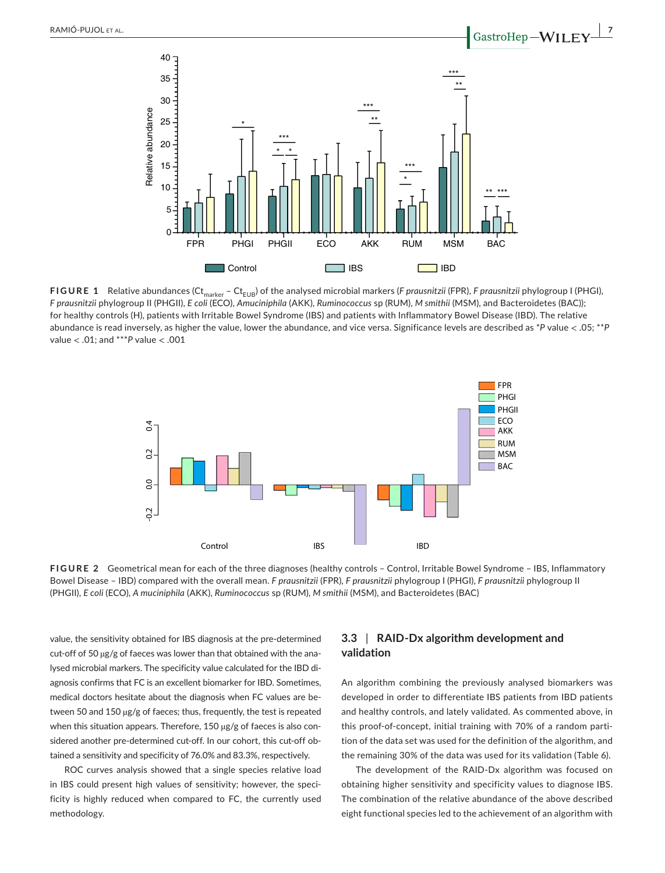

FIGURE 1 Relative abundances (Ct<sub>marker</sub> – Ct<sub>EUB</sub>) of the analysed microbial markers (*F prausnitzii* (FPR), *F prausnitzii* phylogroup I (PHGI), *F prausnitzii* phylogroup II (PHGII), *E coli* (ECO), *Amuciniphila* (AKK), *Ruminococcus* sp (RUM), *M smithii* (MSM), and Bacteroidetes (BAC)); for healthy controls (H), patients with Irritable Bowel Syndrome (IBS) and patients with Inflammatory Bowel Disease (IBD). The relative abundance is read inversely, as higher the value, lower the abundance, and vice versa. Significance levels are described as \**P* value < .05; \*\**P* value < .01; and \*\*\**P* value < .001



**FIGURE 2** Geometrical mean for each of the three diagnoses (healthy controls – Control, Irritable Bowel Syndrome – IBS, Inflammatory Bowel Disease – IBD) compared with the overall mean. *F prausnitzii* (FPR), *F prausnitzii* phylogroup I (PHGI), *F prausnitzii* phylogroup II

value, the sensitivity obtained for IBS diagnosis at the pre-determined cut-off of 50 µg/g of faeces was lower than that obtained with the analysed microbial markers. The specificity value calculated for the IBD diagnosis confirms that FC is an excellent biomarker for IBD. Sometimes, medical doctors hesitate about the diagnosis when FC values are between 50 and 150 µg/g of faeces; thus, frequently, the test is repeated when this situation appears. Therefore, 150 µg/g of faeces is also considered another pre-determined cut-off. In our cohort, this cut-off obtained a sensitivity and specificity of 76.0% and 83.3%, respectively.

ROC curves analysis showed that a single species relative load in IBS could present high values of sensitivity; however, the specificity is highly reduced when compared to FC, the currently used methodology.

## **3.3** | **RAID-Dx algorithm development and validation**

An algorithm combining the previously analysed biomarkers was developed in order to differentiate IBS patients from IBD patients and healthy controls, and lately validated. As commented above, in this proof-of-concept, initial training with 70% of a random partition of the data set was used for the definition of the algorithm, and the remaining 30% of the data was used for its validation (Table 6).

The development of the RAID-Dx algorithm was focused on obtaining higher sensitivity and specificity values to diagnose IBS. The combination of the relative abundance of the above described eight functional species led to the achievement of an algorithm with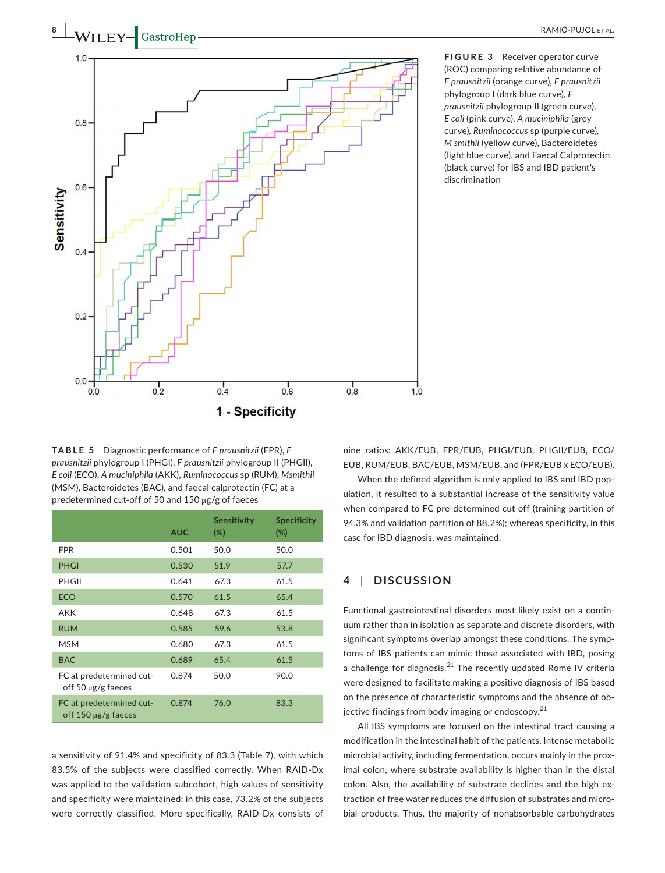

**FIGURE 3** Receiver operator curve (ROC) comparing relative abundance of *F prausnitzii* (orange curve)*, F prausnitzii* phylogroup I (dark blue curve)*, F prausnitzii* phylogroup II (green curve)*, E coli* (pink curve)*, A muciniphila* (grey curve)*, Ruminococcus* sp (purple curve)*, M smithii* (yellow curve), Bacteroidetes (light blue curve), and Faecal Calprotectin (black curve) for IBS and IBD patient's discrimination

**TABLE 5** Diagnostic performance of *F prausnitzii* (FPR), *F prausnitzii* phylogroup I (PHGI), *F prausnitzii* phylogroup II (PHGII), *E coli* (ECO), *A muciniphila* (AKK), *Ruminococcus* sp (RUM), *Msmithii* (MSM), Bacteroidetes (BAC), and faecal calprotectin (FC) at a predetermined cut-off of 50 and 150 µg/g of faeces

|                                                      | <b>AUC</b> | <b>Sensitivity</b><br>$(\%)$ | <b>Specificity</b><br>$(\%)$ |
|------------------------------------------------------|------------|------------------------------|------------------------------|
| <b>FPR</b>                                           | 0.501      | 50.0                         | 50.0                         |
| <b>PHGI</b>                                          | 0.530      | 51.9                         | 57.7                         |
| PHGII                                                | 0.641      | 67.3                         | 61.5                         |
| <b>ECO</b>                                           | 0.570      | 61.5                         | 65.4                         |
| AKK                                                  | 0.648      | 67.3                         | 61.5                         |
| <b>RUM</b>                                           | 0.585      | 59.6                         | 53.8                         |
| <b>MSM</b>                                           | 0.680      | 67.3                         | 61.5                         |
| <b>BAC</b>                                           | 0.689      | 65.4                         | 61.5                         |
| FC at predetermined cut-<br>off 50 $\mu$ g/g faeces  | 0.874      | 50.0                         | 90.0                         |
| FC at predetermined cut-<br>off 150 $\mu$ g/g faeces | 0.874      | 76.0                         | 83.3                         |

a sensitivity of 91.4% and specificity of 83.3 (Table 7), with which 83.5% of the subjects were classified correctly. When RAID-Dx was applied to the validation subcohort, high values of sensitivity and specificity were maintained; in this case, 73.2% of the subjects were correctly classified. More specifically, RAID-Dx consists of nine ratios: AKK/EUB, FPR/EUB, PHGI/EUB, PHGII/EUB, ECO/ EUB, RUM/EUB, BAC/EUB, MSM/EUB, and (FPR/EUB x ECO/EUB).

When the defined algorithm is only applied to IBS and IBD population, it resulted to a substantial increase of the sensitivity value when compared to FC pre-determined cut-off (training partition of 94.3% and validation partition of 88.2%); whereas specificity, in this case for IBD diagnosis, was maintained.

## **4** | **DISCUSSION**

Functional gastrointestinal disorders most likely exist on a continuum rather than in isolation as separate and discrete disorders, with significant symptoms overlap amongst these conditions. The symptoms of IBS patients can mimic those associated with IBD, posing a challenge for diagnosis.<sup>21</sup> The recently updated Rome IV criteria were designed to facilitate making a positive diagnosis of IBS based on the presence of characteristic symptoms and the absence of objective findings from body imaging or endoscopy.<sup>21</sup>

All IBS symptoms are focused on the intestinal tract causing a modification in the intestinal habit of the patients. Intense metabolic microbial activity, including fermentation, occurs mainly in the proximal colon, where substrate availability is higher than in the distal colon. Also, the availability of substrate declines and the high extraction of free water reduces the diffusion of substrates and microbial products. Thus, the majority of nonabsorbable carbohydrates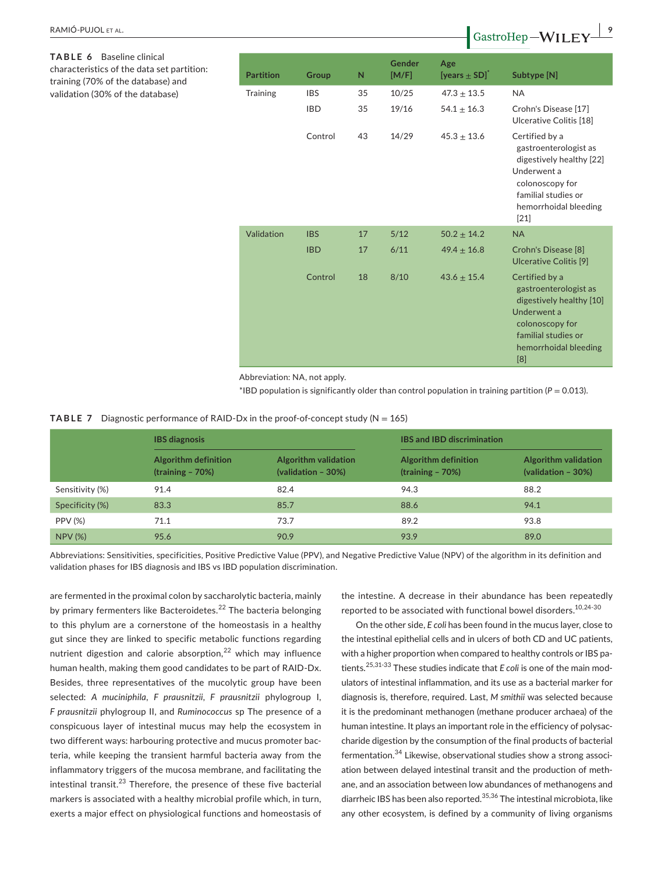| Baseline clinical<br>TABLE 6<br>characteristics of the data set partition:<br>training (70% of the database) and | <b>Partition</b> | <b>Group</b> | $\mathsf{N}$ | <b>Gender</b><br>[M/F] | Age<br>[years $\pm$ SD] <sup><math>\hat{}</math></sup> | Subtype [N]                                                                                                                                                                                                                                                                                                                                |
|------------------------------------------------------------------------------------------------------------------|------------------|--------------|--------------|------------------------|--------------------------------------------------------|--------------------------------------------------------------------------------------------------------------------------------------------------------------------------------------------------------------------------------------------------------------------------------------------------------------------------------------------|
| validation (30% of the database)                                                                                 | Training         | <b>IBS</b>   | 35           | 10/25                  | $47.3 \pm 13.5$                                        | <b>NA</b>                                                                                                                                                                                                                                                                                                                                  |
|                                                                                                                  |                  | <b>IBD</b>   | 35           | 19/16                  | $54.1 \pm 16.3$                                        | Crohn's Disease [17]<br>Ulcerative Colitis [18]                                                                                                                                                                                                                                                                                            |
|                                                                                                                  |                  | Control      | 43           | 14/29                  | $45.3 \pm 13.6$                                        | Certified by a<br>gastroenterologist as<br>digestively healthy [22]<br>Underwent a<br>colonoscopy for<br>familial studies or<br>hemorrhoidal bleeding<br>$[21]$                                                                                                                                                                            |
|                                                                                                                  | Validation       | <b>IBS</b>   | 17           | 5/12                   | $50.2 \pm 14.2$                                        | <b>NA</b>                                                                                                                                                                                                                                                                                                                                  |
|                                                                                                                  |                  | <b>IBD</b>   | 17           | 6/11                   | $49.4 \pm 16.8$                                        | Crohn's Disease [8]<br>Ulcerative Colitis [9]                                                                                                                                                                                                                                                                                              |
|                                                                                                                  |                  | Control      | 18           | 8/10                   | $43.6 \pm 15.4$                                        | Certified by a<br>gastroenterologist as<br>digestively healthy [10]<br>Underwent a<br>colonoscopy for<br>familial studies or<br>hemorrhoidal bleeding<br>$[8] % \includegraphics[width=0.9\columnwidth]{figures/fig_00.pdf} \caption{Schematic plot of the top of the top of the top of the top of the top of the right.} \label{fig:2} %$ |

Abbreviation: NA, not apply.

 $*$ IBD population is significantly older than control population in training partition ( $P = 0.013$ ).

#### **TABLE 7** Diagnostic performance of RAID-Dx in the proof-of-concept study ( $N = 165$ )

|                 | <b>IBS</b> diagnosis                       |                                                           | <b>IBS and IBD discrimination</b>                 |                                                   |  |  |
|-----------------|--------------------------------------------|-----------------------------------------------------------|---------------------------------------------------|---------------------------------------------------|--|--|
|                 | Algorithm definition<br>$(training - 70%)$ | <b>Algorithm validation</b><br>$\left($ validation - 30%) | <b>Algorithm definition</b><br>$(training - 70%)$ | <b>Algorithm validation</b><br>(validation - 30%) |  |  |
| Sensitivity (%) | 91.4                                       | 82.4                                                      | 94.3                                              | 88.2                                              |  |  |
| Specificity (%) | 83.3                                       | 85.7                                                      | 88.6                                              | 94.1                                              |  |  |
| <b>PPV (%)</b>  | 71.1                                       | 73.7                                                      | 89.2                                              | 93.8                                              |  |  |
| <b>NPV (%)</b>  | 95.6                                       | 90.9                                                      | 93.9                                              | 89.0                                              |  |  |

Abbreviations: Sensitivities, specificities, Positive Predictive Value (PPV), and Negative Predictive Value (NPV) of the algorithm in its definition and validation phases for IBS diagnosis and IBS vs IBD population discrimination.

are fermented in the proximal colon by saccharolytic bacteria, mainly by primary fermenters like Bacteroidetes.<sup>22</sup> The bacteria belonging to this phylum are a cornerstone of the homeostasis in a healthy gut since they are linked to specific metabolic functions regarding nutrient digestion and calorie absorption, $22$  which may influence human health, making them good candidates to be part of RAID-Dx. Besides, three representatives of the mucolytic group have been selected: *A muciniphila*, *F prausnitzii, F prausnitzii* phylogroup I, *F prausnitzii* phylogroup II, and *Ruminococcus* sp The presence of a conspicuous layer of intestinal mucus may help the ecosystem in two different ways: harbouring protective and mucus promoter bacteria, while keeping the transient harmful bacteria away from the inflammatory triggers of the mucosa membrane, and facilitating the intestinal transit. $^{23}$  Therefore, the presence of these five bacterial markers is associated with a healthy microbial profile which, in turn, exerts a major effect on physiological functions and homeostasis of the intestine. A decrease in their abundance has been repeatedly reported to be associated with functional bowel disorders.<sup>10,24-30</sup>

On the other side, *E coli* has been found in the mucus layer, close to the intestinal epithelial cells and in ulcers of both CD and UC patients, with a higher proportion when compared to healthy controls or IBS patients.25,31-33 These studies indicate that *E coli* is one of the main modulators of intestinal inflammation, and its use as a bacterial marker for diagnosis is, therefore, required. Last, *M smithii* was selected because it is the predominant methanogen (methane producer archaea) of the human intestine. It plays an important role in the efficiency of polysaccharide digestion by the consumption of the final products of bacterial fermentation.<sup>34</sup> Likewise, observational studies show a strong association between delayed intestinal transit and the production of methane, and an association between low abundances of methanogens and diarrheic IBS has been also reported.<sup>35,36</sup> The intestinal microbiota, like any other ecosystem, is defined by a community of living organisms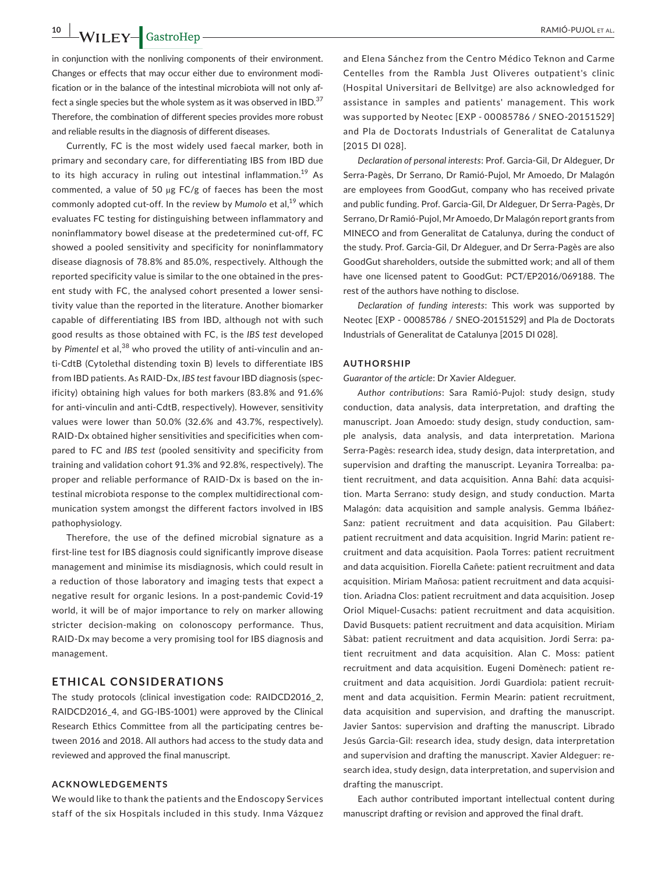**10 |**  RAMIÓ-PUJOL et al.

in conjunction with the nonliving components of their environment. Changes or effects that may occur either due to environment modification or in the balance of the intestinal microbiota will not only affect a single species but the whole system as it was observed in IBD.<sup>37</sup> Therefore, the combination of different species provides more robust and reliable results in the diagnosis of different diseases.

Currently, FC is the most widely used faecal marker, both in primary and secondary care, for differentiating IBS from IBD due to its high accuracy in ruling out intestinal inflammation.<sup>19</sup> As commented, a value of 50 µg FC/g of faeces has been the most commonly adopted cut-off. In the review by *Mumolo* et al,<sup>19</sup> which evaluates FC testing for distinguishing between inflammatory and noninflammatory bowel disease at the predetermined cut-off, FC showed a pooled sensitivity and specificity for noninflammatory disease diagnosis of 78.8% and 85.0%, respectively. Although the reported specificity value is similar to the one obtained in the present study with FC, the analysed cohort presented a lower sensitivity value than the reported in the literature. Another biomarker capable of differentiating IBS from IBD, although not with such good results as those obtained with FC, is the *IBS test* developed by Pimentel et al,<sup>38</sup> who proved the utility of anti-vinculin and anti-CdtB (Cytolethal distending toxin B) levels to differentiate IBS from IBD patients. As RAID-Dx, *IBS test* favour IBD diagnosis (specificity) obtaining high values for both markers (83.8% and 91.6% for anti-vinculin and anti-CdtB, respectively). However, sensitivity values were lower than 50.0% (32.6% and 43.7%, respectively). RAID-Dx obtained higher sensitivities and specificities when compared to FC and *IBS test* (pooled sensitivity and specificity from training and validation cohort 91.3% and 92.8%, respectively). The proper and reliable performance of RAID-Dx is based on the intestinal microbiota response to the complex multidirectional communication system amongst the different factors involved in IBS pathophysiology.

Therefore, the use of the defined microbial signature as a first-line test for IBS diagnosis could significantly improve disease management and minimise its misdiagnosis, which could result in a reduction of those laboratory and imaging tests that expect a negative result for organic lesions. In a post-pandemic Covid-19 world, it will be of major importance to rely on marker allowing stricter decision-making on colonoscopy performance. Thus, RAID-Dx may become a very promising tool for IBS diagnosis and management.

## **ETHICAL CONSIDERATIONS**

The study protocols (clinical investigation code: RAIDCD2016\_2, RAIDCD2016\_4, and GG-IBS-1001) were approved by the Clinical Research Ethics Committee from all the participating centres between 2016 and 2018. All authors had access to the study data and reviewed and approved the final manuscript.

#### **ACKNOWLEDGEMENTS**

We would like to thank the patients and the Endoscopy Services staff of the six Hospitals included in this study. Inma Vázquez

and Elena Sánchez from the Centro Médico Teknon and Carme Centelles from the Rambla Just Oliveres outpatient's clinic (Hospital Universitari de Bellvitge) are also acknowledged for assistance in samples and patients' management. This work was supported by Neotec [EXP - 00085786 / SNEO-20151529] and Pla de Doctorats Industrials of Generalitat de Catalunya [2015 DI 028].

*Declaration of personal interests*: Prof. Garcia-Gil, Dr Aldeguer, Dr Serra-Pagès, Dr Serrano, Dr Ramió-Pujol, Mr Amoedo, Dr Malagón are employees from GoodGut, company who has received private and public funding. Prof. Garcia-Gil, Dr Aldeguer, Dr Serra-Pagès, Dr Serrano, Dr Ramió-Pujol, Mr Amoedo, Dr Malagón report grants from MINECO and from Generalitat de Catalunya, during the conduct of the study. Prof. Garcia-Gil, Dr Aldeguer, and Dr Serra-Pagès are also GoodGut shareholders, outside the submitted work; and all of them have one licensed patent to GoodGut: PCT/EP2016/069188. The rest of the authors have nothing to disclose.

*Declaration of funding interests*: This work was supported by Neotec [EXP - 00085786 / SNEO-20151529] and Pla de Doctorats Industrials of Generalitat de Catalunya [2015 DI 028].

#### **AUTHORSHIP**

*Guarantor of the article*: Dr Xavier Aldeguer.

*Author contributions*: Sara Ramió-Pujol: study design, study conduction, data analysis, data interpretation, and drafting the manuscript. Joan Amoedo: study design, study conduction, sample analysis, data analysis, and data interpretation. Mariona Serra-Pagès: research idea, study design, data interpretation, and supervision and drafting the manuscript. Leyanira Torrealba: patient recruitment, and data acquisition. Anna Bahí: data acquisition. Marta Serrano: study design, and study conduction. Marta Malagón: data acquisition and sample analysis. Gemma Ibáñez-Sanz: patient recruitment and data acquisition. Pau Gilabert: patient recruitment and data acquisition. Ingrid Marin: patient recruitment and data acquisition. Paola Torres: patient recruitment and data acquisition. Fiorella Cañete: patient recruitment and data acquisition. Miriam Mañosa: patient recruitment and data acquisition. Ariadna Clos: patient recruitment and data acquisition. Josep Oriol Miquel-Cusachs: patient recruitment and data acquisition. David Busquets: patient recruitment and data acquisition. Miriam Sàbat: patient recruitment and data acquisition. Jordi Serra: patient recruitment and data acquisition. Alan C. Moss: patient recruitment and data acquisition. Eugeni Domènech: patient recruitment and data acquisition. Jordi Guardiola: patient recruitment and data acquisition. Fermin Mearin: patient recruitment, data acquisition and supervision, and drafting the manuscript. Javier Santos: supervision and drafting the manuscript. Librado Jesús Garcia-Gil: research idea, study design, data interpretation and supervision and drafting the manuscript. Xavier Aldeguer: research idea, study design, data interpretation, and supervision and drafting the manuscript.

Each author contributed important intellectual content during manuscript drafting or revision and approved the final draft.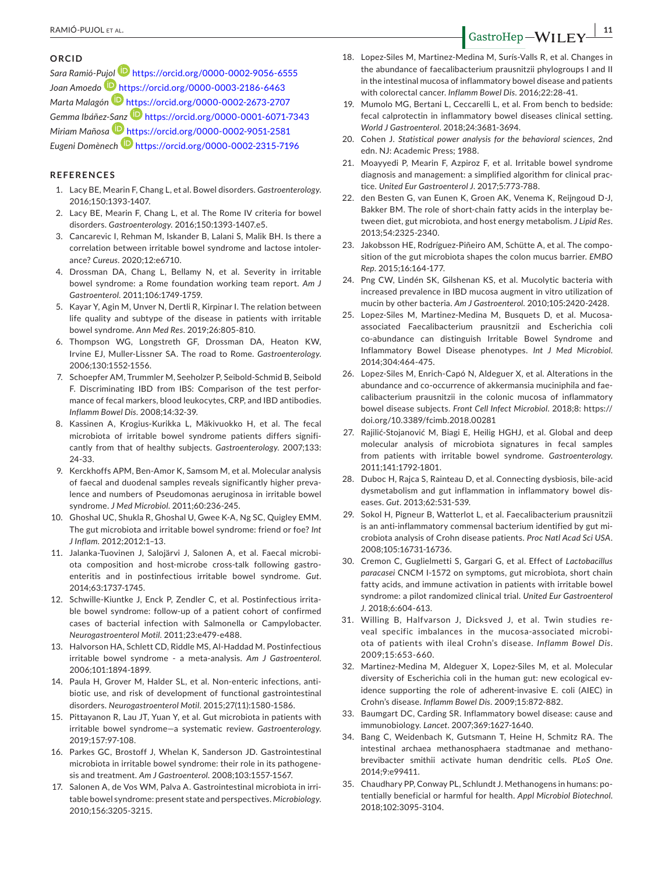#### **ORCID**

*Sara Ramió-P[ujol](https://orcid.org/0000-0003-2186-6463)* <https://orcid.org/0000-0002-9056-6555> *Joan Amoedo* <https://orcid.org/0000-0003-2186-6463> *Marta Malagón* <https://orcid.org/0000-0002-2673-2707> *Gemma Ibáñez[-Sanz](https://orcid.org/0000-0002-9051-2581)* <https://orcid.org/0000-0001-6071-7343> *Miriam Mañosa* <https://orcid.org/0000-0002-9051-2581> *Eugeni Domènech* <https://orcid.org/0000-0002-2315-7196>

## **REFERENCES**

- 1. Lacy BE, Mearin F, Chang L, et al. Bowel disorders. *Gastroenterology*. 2016;150:1393-1407.
- 2. Lacy BE, Mearin F, Chang L, et al. The Rome IV criteria for bowel disorders. *Gastroenterology*. 2016;150:1393-1407.e5.
- 3. Cancarevic I, Rehman M, Iskander B, Lalani S, Malik BH. Is there a correlation between irritable bowel syndrome and lactose intolerance? *Cureus*. 2020;12:e6710.
- 4. Drossman DA, Chang L, Bellamy N, et al. Severity in irritable bowel syndrome: a Rome foundation working team report. *Am J Gastroenterol*. 2011;106:1749-1759.
- 5. Kayar Y, Agin M, Unver N, Dertli R, Kirpinar I. The relation between life quality and subtype of the disease in patients with irritable bowel syndrome. *Ann Med Res*. 2019;26:805-810.
- 6. Thompson WG, Longstreth GF, Drossman DA, Heaton KW, Irvine EJ, Muller-Lissner SA. The road to Rome. *Gastroenterology*. 2006;130:1552-1556.
- 7. Schoepfer AM, Trummler M, Seeholzer P, Seibold-Schmid B, Seibold F. Discriminating IBD from IBS: Comparison of the test performance of fecal markers, blood leukocytes, CRP, and IBD antibodies. *Inflamm Bowel Dis*. 2008;14:32-39.
- 8. Kassinen A, Krogius-Kurikka L, Mäkivuokko H, et al. The fecal microbiota of irritable bowel syndrome patients differs significantly from that of healthy subjects. *Gastroenterology*. 2007;133: 24-33.
- 9. Kerckhoffs APM, Ben-Amor K, Samsom M, et al. Molecular analysis of faecal and duodenal samples reveals significantly higher prevalence and numbers of Pseudomonas aeruginosa in irritable bowel syndrome. *J Med Microbiol*. 2011;60:236-245.
- 10. Ghoshal UC, Shukla R, Ghoshal U, Gwee K-A, Ng SC, Quigley EMM. The gut microbiota and irritable bowel syndrome: friend or foe? *Int J Inflam*. 2012;2012:1–13.
- 11. Jalanka-Tuovinen J, Salojärvi J, Salonen A, et al. Faecal microbiota composition and host-microbe cross-talk following gastroenteritis and in postinfectious irritable bowel syndrome. *Gut*. 2014;63:1737-1745.
- 12. Schwille-Kiuntke J, Enck P, Zendler C, et al. Postinfectious irritable bowel syndrome: follow-up of a patient cohort of confirmed cases of bacterial infection with Salmonella or Campylobacter. *Neurogastroenterol Motil*. 2011;23:e479-e488.
- 13. Halvorson HA, Schlett CD, Riddle MS, Al-Haddad M. Postinfectious irritable bowel syndrome - a meta-analysis. *Am J Gastroenterol*. 2006;101:1894-1899.
- 14. Paula H, Grover M, Halder SL, et al. Non-enteric infections, antibiotic use, and risk of development of functional gastrointestinal disorders. *Neurogastroenterol Motil*. 2015;27(11):1580-1586.
- 15. Pittayanon R, Lau JT, Yuan Y, et al. Gut microbiota in patients with irritable bowel syndrome—a systematic review. *Gastroenterology*. 2019;157:97-108.
- 16. Parkes GC, Brostoff J, Whelan K, Sanderson JD. Gastrointestinal microbiota in irritable bowel syndrome: their role in its pathogenesis and treatment. *Am J Gastroenterol*. 2008;103:1557-1567.
- 17. Salonen A, de Vos WM, Palva A. Gastrointestinal microbiota in irritable bowel syndrome: present state and perspectives. *Microbiology*. 2010;156:3205-3215.
- 18. Lopez-Siles M, Martinez-Medina M, Surís-Valls R, et al. Changes in the abundance of faecalibacterium prausnitzii phylogroups I and II in the intestinal mucosa of inflammatory bowel disease and patients with colorectal cancer. *Inflamm Bowel Dis*. 2016;22:28-41.
- 19. Mumolo MG, Bertani L, Ceccarelli L, et al. From bench to bedside: fecal calprotectin in inflammatory bowel diseases clinical setting. *World J Gastroenterol*. 2018;24:3681-3694.
- 20. Cohen J. *Statistical power analysis for the behavioral sciences*, 2nd edn. NJ: Academic Press; 1988.
- 21. Moayyedi P, Mearin F, Azpiroz F, et al. Irritable bowel syndrome diagnosis and management: a simplified algorithm for clinical practice. *United Eur Gastroenterol J*. 2017;5:773-788.
- 22. den Besten G, van Eunen K, Groen AK, Venema K, Reijngoud D-J, Bakker BM. The role of short-chain fatty acids in the interplay between diet, gut microbiota, and host energy metabolism. *J Lipid Res*. 2013;54:2325-2340.
- 23. Jakobsson HE, Rodríguez-Piñeiro AM, Schütte A, et al. The composition of the gut microbiota shapes the colon mucus barrier. *EMBO Rep*. 2015;16:164-177.
- 24. Png CW, Lindén SK, Gilshenan KS, et al. Mucolytic bacteria with increased prevalence in IBD mucosa augment in vitro utilization of mucin by other bacteria. *Am J Gastroenterol*. 2010;105:2420-2428.
- 25. Lopez-Siles M, Martinez-Medina M, Busquets D, et al. Mucosaassociated Faecalibacterium prausnitzii and Escherichia coli co-abundance can distinguish Irritable Bowel Syndrome and Inflammatory Bowel Disease phenotypes. *Int J Med Microbiol*. 2014;304:464-475.
- 26. Lopez-Siles M, Enrich-Capó N, Aldeguer X, et al. Alterations in the abundance and co-occurrence of akkermansia muciniphila and faecalibacterium prausnitzii in the colonic mucosa of inflammatory bowel disease subjects. *Front Cell Infect Microbiol*. 2018;8: [https://](https://doi.org/10.3389/fcimb.2018.00281) [doi.org/10.3389/fcimb.2018.00281](https://doi.org/10.3389/fcimb.2018.00281)
- 27. Rajilić-Stojanović M, Biagi E, Heilig HGHJ, et al. Global and deep molecular analysis of microbiota signatures in fecal samples from patients with irritable bowel syndrome. *Gastroenterology*. 2011;141:1792-1801.
- 28. Duboc H, Rajca S, Rainteau D, et al. Connecting dysbiosis, bile-acid dysmetabolism and gut inflammation in inflammatory bowel diseases. *Gut*. 2013;62:531-539.
- 29. Sokol H, Pigneur B, Watterlot L, et al. Faecalibacterium prausnitzii is an anti-inflammatory commensal bacterium identified by gut microbiota analysis of Crohn disease patients. *Proc Natl Acad Sci USA*. 2008;105:16731-16736.
- 30. Cremon C, Guglielmetti S, Gargari G, et al. Effect of *Lactobacillus paracasei* CNCM I-1572 on symptoms, gut microbiota, short chain fatty acids, and immune activation in patients with irritable bowel syndrome: a pilot randomized clinical trial. *United Eur Gastroenterol J*. 2018;6:604-613.
- 31. Willing B, Halfvarson J, Dicksved J, et al. Twin studies reveal specific imbalances in the mucosa-associated microbiota of patients with ileal Crohn's disease. *Inflamm Bowel Dis*. 2009;15:653-660.
- 32. Martinez-Medina M, Aldeguer X, Lopez-Siles M, et al. Molecular diversity of Escherichia coli in the human gut: new ecological evidence supporting the role of adherent-invasive E. coli (AIEC) in Crohn's disease. *Inflamm Bowel Dis*. 2009;15:872-882.
- 33. Baumgart DC, Carding SR. Inflammatory bowel disease: cause and immunobiology. *Lancet*. 2007;369:1627-1640.
- 34. Bang C, Weidenbach K, Gutsmann T, Heine H, Schmitz RA. The intestinal archaea methanosphaera stadtmanae and methanobrevibacter smithii activate human dendritic cells. *PLoS One*. 2014;9:e99411.
- 35. Chaudhary PP, Conway PL, Schlundt J. Methanogens in humans: potentially beneficial or harmful for health. *Appl Microbiol Biotechnol*. 2018;102:3095-3104.